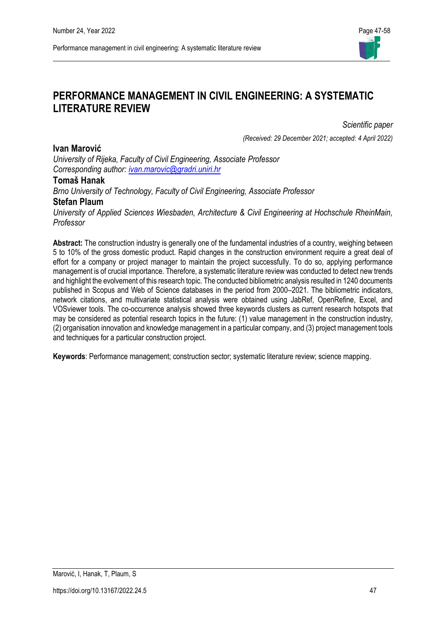

# **PERFORMANCE MANAGEMENT IN CIVIL ENGINEERING: A SYSTEMATIC LITERATURE REVIEW**

*Scientific paper* 

*(Received: 29 December 2021; accepted: 4 April 2022)*

*University of Rijeka, Faculty of Civil Engineering, Associate Professor Corresponding author: [ivan.marovic@gradri.uniri.hr](mailto:ivan.marovic@gradri.uniri.hr)*

### **Tomaš Hanak**

**Ivan Marović**

*Brno University of Technology, Faculty of Civil Engineering, Associate Professor* **Stefan Plaum**

*University of Applied Sciences Wiesbaden, Architecture & Civil Engineering at Hochschule RheinMain, Professor*

**Abstract:** The construction industry is generally one of the fundamental industries of a country, weighing between 5 to 10% of the gross domestic product. Rapid changes in the construction environment require a great deal of effort for a company or project manager to maintain the project successfully. To do so, applying performance management is of crucial importance. Therefore, a systematic literature review was conducted to detect new trends and highlight the evolvement of this research topic. The conducted bibliometric analysis resulted in 1240 documents published in Scopus and Web of Science databases in the period from 2000–2021. The bibliometric indicators, network citations, and multivariate statistical analysis were obtained using JabRef, OpenRefine, Excel, and VOSviewer tools. The co-occurrence analysis showed three keywords clusters as current research hotspots that may be considered as potential research topics in the future: (1) value management in the construction industry, (2) organisation innovation and knowledge management in a particular company, and (3) project management tools and techniques for a particular construction project.

**Keywords**: Performance management; construction sector; systematic literature review; science mapping.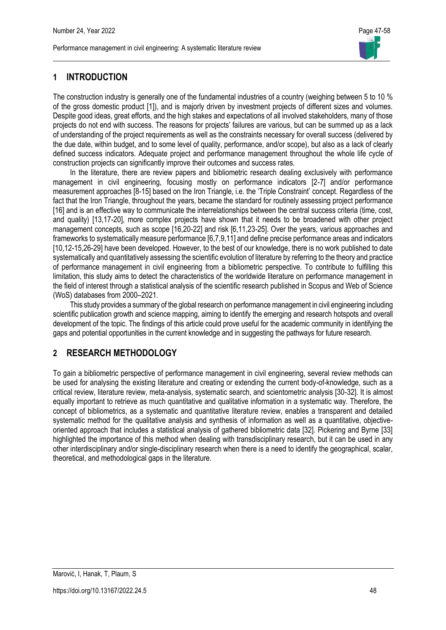

# **1 INTRODUCTION**

The construction industry is generally one of the fundamental industries of a country (weighing between 5 to 10 % of the gross domestic product [1]), and is majorly driven by investment projects of different sizes and volumes. Despite good ideas, great efforts, and the high stakes and expectations of all involved stakeholders, many of those projects do not end with success. The reasons for projects' failures are various, but can be summed up as a lack of understanding of the project requirements as well as the constraints necessary for overall success (delivered by the due date, within budget, and to some level of quality, performance, and/or scope), but also as a lack of clearly defined success indicators. Adequate project and performance management throughout the whole life cycle of construction projects can significantly improve their outcomes and success rates.

In the literature, there are review papers and bibliometric research dealing exclusively with performance management in civil engineering, focusing mostly on performance indicators [2-7] and/or performance measurement approaches [8-15] based on the Iron Triangle, i.e. the 'Triple Constraint' concept. Regardless of the fact that the Iron Triangle, throughout the years, became the standard for routinely assessing project performance [16] and is an effective way to communicate the interrelationships between the central success criteria (time, cost, and quality) [13,17-20], more complex projects have shown that it needs to be broadened with other project management concepts, such as scope [16,20-22] and risk [6,11,23-25]. Over the years, various approaches and frameworks to systematically measure performance [6,7,9,11] and define precise performance areas and indicators [10,12-15,26-29] have been developed. However, to the best of our knowledge, there is no work published to date systematically and quantitatively assessing the scientific evolution of literature by referring to the theory and practice of performance management in civil engineering from a bibliometric perspective. To contribute to fulfilling this limitation, this study aims to detect the characteristics of the worldwide literature on performance management in the field of interest through a statistical analysis of the scientific research published in Scopus and Web of Science (WoS) databases from 2000–2021.

This study provides a summary of the global research on performance management in civil engineering including scientific publication growth and science mapping, aiming to identify the emerging and research hotspots and overall development of the topic. The findings of this article could prove useful for the academic community in identifying the gaps and potential opportunities in the current knowledge and in suggesting the pathways for future research.

# **2 RESEARCH METHODOLOGY**

To gain a bibliometric perspective of performance management in civil engineering, several review methods can be used for analysing the existing literature and creating or extending the current body-of-knowledge, such as a critical review, literature review, meta-analysis, systematic search, and scientometric analysis [30-32]. It is almost equally important to retrieve as much quantitative and qualitative information in a systematic way. Therefore, the concept of bibliometrics, as a systematic and quantitative literature review, enables a transparent and detailed systematic method for the qualitative analysis and synthesis of information as well as a quantitative, objectiveoriented approach that includes a statistical analysis of gathered bibliometric data [32]. Pickering and Byrne [33] highlighted the importance of this method when dealing with transdisciplinary research, but it can be used in any other interdisciplinary and/or single-disciplinary research when there is a need to identify the geographical, scalar, theoretical, and methodological gaps in the literature.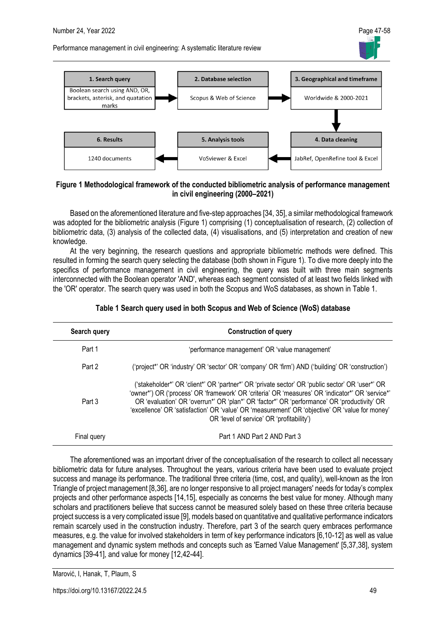

### **Figure 1 Methodological framework of the conducted bibliometric analysis of performance management in civil engineering (2000–2021)**

Based on the aforementioned literature and five-step approaches [34, 35], a similar methodological framework was adopted for the bibliometric analysis (Figure 1) comprising (1) conceptualisation of research, (2) collection of bibliometric data, (3) analysis of the collected data, (4) visualisations, and (5) interpretation and creation of new knowledge.

At the very beginning, the research questions and appropriate bibliometric methods were defined. This resulted in forming the search query selecting the database (both shown in Figure 1). To dive more deeply into the specifics of performance management in civil engineering, the query was built with three main segments interconnected with the Boolean operator 'AND', whereas each segment consisted of at least two fields linked with the 'OR' operator. The search query was used in both the Scopus and WoS databases, as shown in Table 1.

| Search query | <b>Construction of query</b>                                                                                                                                                                                                                                                                                                                                                                                                                      |
|--------------|---------------------------------------------------------------------------------------------------------------------------------------------------------------------------------------------------------------------------------------------------------------------------------------------------------------------------------------------------------------------------------------------------------------------------------------------------|
| Part 1       | 'performance management' OR 'value management'                                                                                                                                                                                                                                                                                                                                                                                                    |
| Part 2       | ('project*' OR 'industry' OR 'sector' OR 'company' OR 'firm') AND ('building' OR 'construction')                                                                                                                                                                                                                                                                                                                                                  |
| Part 3       | ('stakeholder*' OR 'client*' OR 'partner*' OR 'private sector' OR 'public sector' OR 'user*' OR<br>'owner*') OR ('process' OR 'framework' OR 'criteria' OR 'measures' OR 'indicator*' OR 'service*'<br>OR 'evaluation' OR 'overrun*' OR 'plan*' OR 'factor*' OR 'performance' OR 'productivity' OR<br>'excellence' OR 'satisfaction' OR 'value' OR 'measurement' OR 'objective' OR 'value for money'<br>OR 'level of service' OR 'profitability') |
| Final query  | Part 1 AND Part 2 AND Part 3                                                                                                                                                                                                                                                                                                                                                                                                                      |

The aforementioned was an important driver of the conceptualisation of the research to collect all necessary bibliometric data for future analyses. Throughout the years, various criteria have been used to evaluate project success and manage its performance. The traditional three criteria (time, cost, and quality), well-known as the Iron Triangle of project management [8,36], are no longer responsive to all project managers' needs for today's complex projects and other performance aspects [14,15], especially as concerns the best value for money. Although many scholars and practitioners believe that success cannot be measured solely based on these three criteria because project success is a very complicated issue [9], models based on quantitative and qualitative performance indicators remain scarcely used in the construction industry. Therefore, part 3 of the search query embraces performance measures, e.g. the value for involved stakeholders in term of key performance indicators [6,10-12] as well as value management and dynamic system methods and concepts such as 'Earned Value Management' [5,37,38], system dynamics [39-41], and value for money [12,42-44].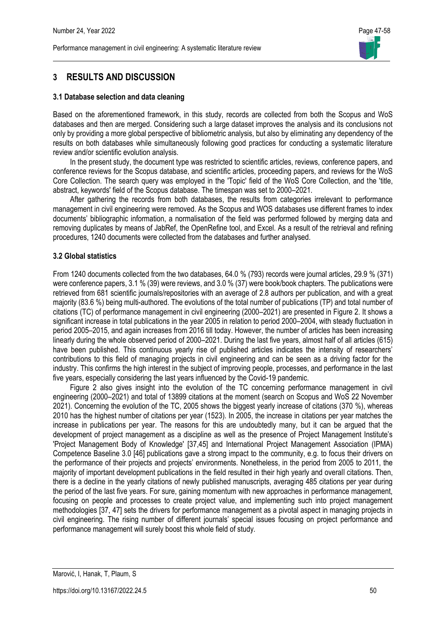

# **3 RESULTS AND DISCUSSION**

#### **3.1 Database selection and data cleaning**

Based on the aforementioned framework, in this study, records are collected from both the Scopus and WoS databases and then are merged. Considering such a large dataset improves the analysis and its conclusions not only by providing a more global perspective of bibliometric analysis, but also by eliminating any dependency of the results on both databases while simultaneously following good practices for conducting a systematic literature review and/or scientific evolution analysis.

In the present study, the document type was restricted to scientific articles, reviews, conference papers, and conference reviews for the Scopus database, and scientific articles, proceeding papers, and reviews for the WoS Core Collection. The search query was employed in the 'Topic' field of the WoS Core Collection, and the 'title, abstract, keywords' field of the Scopus database. The timespan was set to 2000–2021.

After gathering the records from both databases, the results from categories irrelevant to performance management in civil engineering were removed. As the Scopus and WOS databases use different frames to index documents' bibliographic information, a normalisation of the field was performed followed by merging data and removing duplicates by means of JabRef, the OpenRefine tool, and Excel. As a result of the retrieval and refining procedures, 1240 documents were collected from the databases and further analysed.

#### **3.2 Global statistics**

From 1240 documents collected from the two databases, 64.0 % (793) records were journal articles, 29.9 % (371) were conference papers, 3.1 % (39) were reviews, and 3.0 % (37) were book/book chapters. The publications were retrieved from 681 scientific journals/repositories with an average of 2.8 authors per publication, and with a great majority (83.6 %) being multi-authored. The evolutions of the total number of publications (TP) and total number of citations (TC) of performance management in civil engineering (2000–2021) are presented in Figure 2. It shows a significant increase in total publications in the year 2005 in relation to period 2000–2004, with steady fluctuation in period 2005–2015, and again increases from 2016 till today. However, the number of articles has been increasing linearly during the whole observed period of 2000–2021. During the last five years, almost half of all articles (615) have been published. This continuous yearly rise of published articles indicates the intensity of researchers' contributions to this field of managing projects in civil engineering and can be seen as a driving factor for the industry. This confirms the high interest in the subject of improving people, processes, and performance in the last five years, especially considering the last years influenced by the Covid-19 pandemic.

Figure 2 also gives insight into the evolution of the TC concerning performance management in civil engineering (2000–2021) and total of 13899 citations at the moment (search on Scopus and WoS 22 November 2021). Concerning the evolution of the TC, 2005 shows the biggest yearly increase of citations (370 %), whereas 2010 has the highest number of citations per year (1523). In 2005, the increase in citations per year matches the increase in publications per year. The reasons for this are undoubtedly many, but it can be argued that the development of project management as a discipline as well as the presence of Project Management Institute's 'Project Management Body of Knowledge' [37,45] and International Project Management Association (IPMA) Competence Baseline 3.0 [46] publications gave a strong impact to the community, e.g. to focus their drivers on the performance of their projects and projects' environments. Nonetheless, in the period from 2005 to 2011, the majority of important development publications in the field resulted in their high yearly and overall citations. Then, there is a decline in the yearly citations of newly published manuscripts, averaging 485 citations per year during the period of the last five years. For sure, gaining momentum with new approaches in performance management, focusing on people and processes to create project value, and implementing such into project management methodologies [37, 47] sets the drivers for performance management as a pivotal aspect in managing projects in civil engineering. The rising number of different journals' special issues focusing on project performance and performance management will surely boost this whole field of study.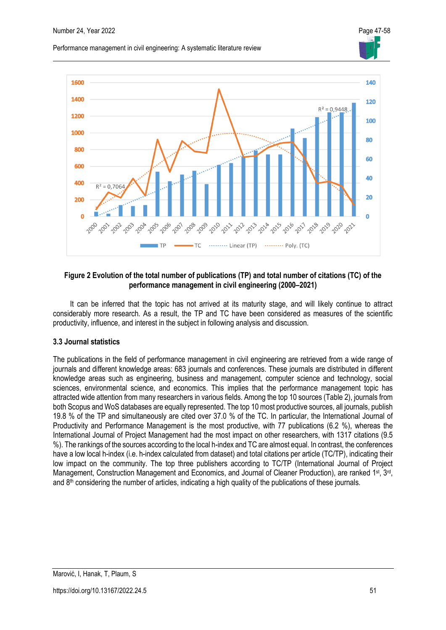Performance management in civil engineering: A systematic literature review



### **Figure 2 Evolution of the total number of publications (TP) and total number of citations (TC) of the performance management in civil engineering (2000–2021)**

It can be inferred that the topic has not arrived at its maturity stage, and will likely continue to attract considerably more research. As a result, the TP and TC have been considered as measures of the scientific productivity, influence, and interest in the subject in following analysis and discussion.

### **3.3 Journal statistics**

The publications in the field of performance management in civil engineering are retrieved from a wide range of journals and different knowledge areas: 683 journals and conferences. These journals are distributed in different knowledge areas such as engineering, business and management, computer science and technology, social sciences, environmental science, and economics. This implies that the performance management topic has attracted wide attention from many researchers in various fields. Among the top 10 sources (Table 2), journals from both Scopus and WoS databases are equally represented. The top 10 most productive sources, all journals, publish 19.8 % of the TP and simultaneously are cited over 37.0 % of the TC. In particular, the International Journal of Productivity and Performance Management is the most productive, with 77 publications (6.2 %), whereas the International Journal of Project Management had the most impact on other researchers, with 1317 citations (9.5 %). The rankings of the sources according to the local h-index and TC are almost equal. In contrast, the conferences have a low local h-index (i.e. h-index calculated from dataset) and total citations per article (TC/TP), indicating their low impact on the community. The top three publishers according to TC/TP (International Journal of Project Management, Construction Management and Economics, and Journal of Cleaner Production), are ranked 1<sup>st</sup>, 3<sup>rd</sup>, and  $8<sup>th</sup>$  considering the number of articles, indicating a high quality of the publications of these journals.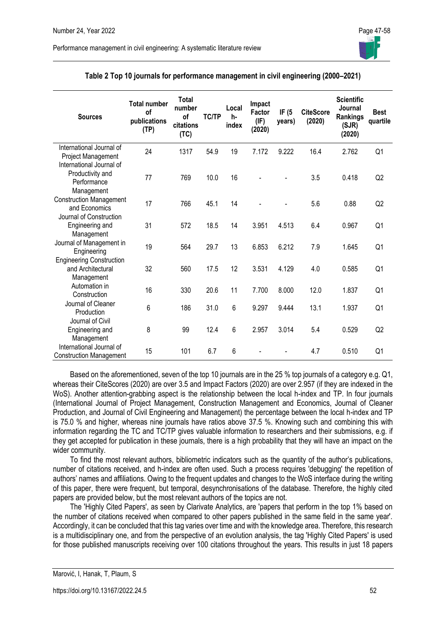| <b>Sources</b>                                                            | <b>Total number</b><br>of<br>publications<br>(TP) | <b>Total</b><br>number<br>of<br>citations<br>(TC) | <b>TC/TP</b> | Local<br>h-<br>index | Impact<br>Factor<br>(IF)<br>(2020) | IF $(5)$<br>years) | <b>CiteScore</b><br>(2020) | <b>Scientific</b><br>Journal<br>Rankings<br>(SJR)<br>(2020) | <b>Best</b><br>quartile |
|---------------------------------------------------------------------------|---------------------------------------------------|---------------------------------------------------|--------------|----------------------|------------------------------------|--------------------|----------------------------|-------------------------------------------------------------|-------------------------|
| International Journal of<br><b>Project Management</b>                     | 24                                                | 1317                                              | 54.9         | 19                   | 7.172                              | 9.222              | 16.4                       | 2.762                                                       | Q1                      |
| International Journal of<br>Productivity and<br>Performance<br>Management | 77                                                | 769                                               | 10.0         | 16                   |                                    |                    | 3.5                        | 0.418                                                       | Q <sub>2</sub>          |
| <b>Construction Management</b><br>and Economics                           | 17                                                | 766                                               | 45.1         | 14                   |                                    |                    | 5.6                        | 0.88                                                        | Q2                      |
| Journal of Construction<br>Engineering and<br>Management                  | 31                                                | 572                                               | 18.5         | 14                   | 3.951                              | 4.513              | 6.4                        | 0.967                                                       | Q1                      |
| Journal of Management in<br>Engineering                                   | 19                                                | 564                                               | 29.7         | 13                   | 6.853                              | 6.212              | 7.9                        | 1.645                                                       | Q1                      |
| <b>Engineering Construction</b><br>and Architectural<br>Management        | 32                                                | 560                                               | 17.5         | 12                   | 3.531                              | 4.129              | 4.0                        | 0.585                                                       | Q1                      |
| Automation in<br>Construction                                             | 16                                                | 330                                               | 20.6         | 11                   | 7.700                              | 8.000              | 12.0                       | 1.837                                                       | Q1                      |
| Journal of Cleaner<br>Production                                          | 6                                                 | 186                                               | 31.0         | 6                    | 9.297                              | 9.444              | 13.1                       | 1.937                                                       | Q1                      |
| Journal of Civil<br>Engineering and<br>Management                         | 8                                                 | 99                                                | 12.4         | 6                    | 2.957                              | 3.014              | 5.4                        | 0.529                                                       | Q2                      |
| International Journal of<br><b>Construction Management</b>                | 15                                                | 101                                               | 6.7          | 6                    |                                    |                    | 4.7                        | 0.510                                                       | Q1                      |

| Table 2 Top 10 journals for performance management in civil engineering (2000-2021) |
|-------------------------------------------------------------------------------------|
|-------------------------------------------------------------------------------------|

Performance management in civil engineering: A systematic literature review

Based on the aforementioned, seven of the top 10 journals are in the 25 % top journals of a category e.g. Q1, whereas their CiteScores (2020) are over 3.5 and Impact Factors (2020) are over 2.957 (if they are indexed in the WoS). Another attention-grabbing aspect is the relationship between the local h-index and TP. In four journals (International Journal of Project Management, Construction Management and Economics, Journal of Cleaner Production, and Journal of Civil Engineering and Management) the percentage between the local h-index and TP is 75.0 % and higher, whereas nine journals have ratios above 37.5 %. Knowing such and combining this with information regarding the TC and TC/TP gives valuable information to researchers and their submissions, e.g. if they get accepted for publication in these journals, there is a high probability that they will have an impact on the wider community.

To find the most relevant authors, bibliometric indicators such as the quantity of the author's publications, number of citations received, and h-index are often used. Such a process requires 'debugging' the repetition of authors' names and affiliations. Owing to the frequent updates and changes to the WoS interface during the writing of this paper, there were frequent, but temporal, desynchronisations of the database. Therefore, the highly cited papers are provided below, but the most relevant authors of the topics are not.

The 'Highly Cited Papers', as seen by Clarivate Analytics, are 'papers that perform in the top 1% based on the number of citations received when compared to other papers published in the same field in the same year'. Accordingly, it can be concluded that this tag varies over time and with the knowledge area. Therefore, this research is a multidisciplinary one, and from the perspective of an evolution analysis, the tag 'Highly Cited Papers' is used for those published manuscripts receiving over 100 citations throughout the years. This results in just 18 papers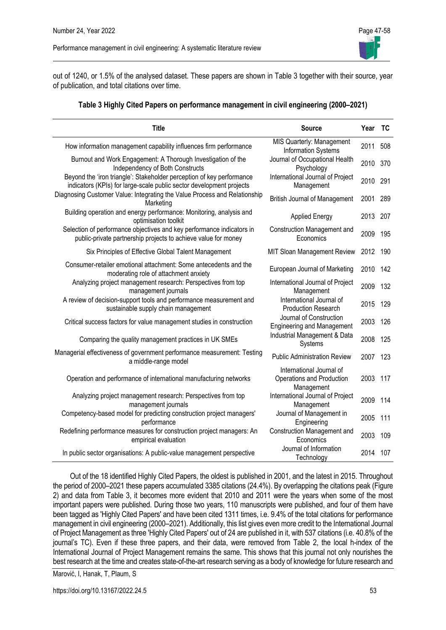

out of 1240, or 1.5% of the analysed dataset. These papers are shown in Table 3 together with their source, year of publication, and total citations over time.

#### **Table 3 Highly Cited Papers on performance management in civil engineering (2000–2021)**

| <b>Title</b>                                                                                                                                  | <b>Source</b>                                                       | Year | <b>TC</b> |
|-----------------------------------------------------------------------------------------------------------------------------------------------|---------------------------------------------------------------------|------|-----------|
| How information management capability influences firm performance                                                                             | MIS Quarterly: Management<br><b>Information Systems</b>             | 2011 | 508       |
| Burnout and Work Engagement: A Thorough Investigation of the<br>Independency of Both Constructs                                               | Journal of Occupational Health<br>Psychology                        | 2010 | 370       |
| Beyond the 'iron triangle': Stakeholder perception of key performance<br>indicators (KPIs) for large-scale public sector development projects | International Journal of Project<br>Management                      | 2010 | 291       |
| Diagnosing Customer Value: Integrating the Value Process and Relationship<br>Marketing                                                        | <b>British Journal of Management</b>                                | 2001 | 289       |
| Building operation and energy performance: Monitoring, analysis and<br>optimisation toolkit                                                   | <b>Applied Energy</b>                                               | 2013 | 207       |
| Selection of performance objectives and key performance indicators in<br>public-private partnership projects to achieve value for money       | <b>Construction Management and</b><br>Economics                     | 2009 | 195       |
| Six Principles of Effective Global Talent Management                                                                                          | MIT Sloan Management Review                                         | 2012 | 190       |
| Consumer-retailer emotional attachment: Some antecedents and the<br>moderating role of attachment anxiety                                     | European Journal of Marketing                                       | 2010 | 142       |
| Analyzing project management research: Perspectives from top<br>management journals                                                           | International Journal of Project<br>Management                      | 2009 | 132       |
| A review of decision-support tools and performance measurement and<br>sustainable supply chain management                                     | International Journal of<br><b>Production Research</b>              | 2015 | 129       |
| Critical success factors for value management studies in construction                                                                         | Journal of Construction<br><b>Engineering and Management</b>        | 2003 | 126       |
| Comparing the quality management practices in UK SMEs                                                                                         | Industrial Management & Data<br>Systems                             | 2008 | 125       |
| Managerial effectiveness of government performance measurement: Testing<br>a middle-range model                                               | <b>Public Administration Review</b>                                 | 2007 | 123       |
| Operation and performance of international manufacturing networks                                                                             | International Journal of<br>Operations and Production<br>Management | 2003 | 117       |
| Analyzing project management research: Perspectives from top<br>management journals                                                           | International Journal of Project<br>Management                      | 2009 | 114       |
| Competency-based model for predicting construction project managers'<br>performance                                                           | Journal of Management in<br>Engineering                             | 2005 | 111       |
| Redefining performance measures for construction project managers: An<br>empirical evaluation                                                 | <b>Construction Management and</b><br>Economics                     | 2003 | 109       |
| In public sector organisations: A public-value management perspective                                                                         | Journal of Information<br>Technology                                | 2014 | 107       |

Out of the 18 identified Highly Cited Papers, the oldest is published in 2001, and the latest in 2015. Throughout the period of 2000–2021 these papers accumulated 3385 citations (24.4%). By overlapping the citations peak (Figure 2) and data from Table 3, it becomes more evident that 2010 and 2011 were the years when some of the most important papers were published. During those two years, 110 manuscripts were published, and four of them have been tagged as 'Highly Cited Papers' and have been cited 1311 times, i.e. 9.4% of the total citations for performance management in civil engineering (2000–2021). Additionally, this list gives even more credit to the International Journal of Project Management as three 'Highly Cited Papers' out of 24 are published in it, with 537 citations (i.e. 40.8% of the journal's TC). Even if these three papers, and their data, were removed from Table 2, the local h-index of the International Journal of Project Management remains the same. This shows that this journal not only nourishes the best research at the time and creates state-of-the-art research serving as a body of knowledge for future research and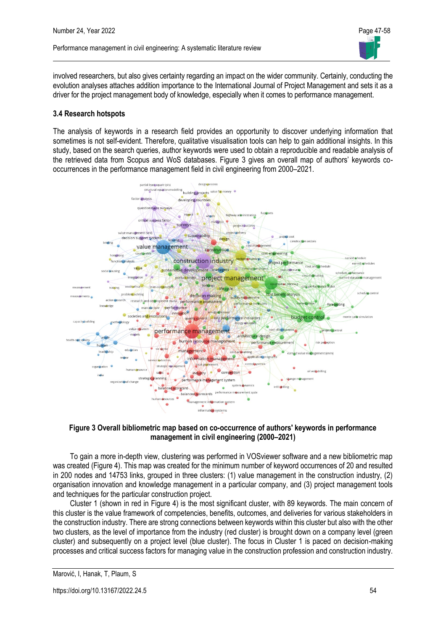

involved researchers, but also gives certainty regarding an impact on the wider community. Certainly, conducting the evolution analyses attaches addition importance to the International Journal of Project Management and sets it as a driver for the project management body of knowledge, especially when it comes to performance management.

#### **3.4 Research hotspots**

The analysis of keywords in a research field provides an opportunity to discover underlying information that sometimes is not self-evident. Therefore, qualitative visualisation tools can help to gain additional insights. In this study, based on the search queries, author keywords were used to obtain a reproducible and readable analysis of the retrieved data from Scopus and WoS databases. Figure 3 gives an overall map of authors' keywords cooccurrences in the performance management field in civil engineering from 2000–2021.



#### **Figure 3 Overall bibliometric map based on co-occurrence of authors' keywords in performance management in civil engineering (2000–2021)**

To gain a more in-depth view, clustering was performed in VOSviewer software and a new bibliometric map was created (Figure 4). This map was created for the minimum number of keyword occurrences of 20 and resulted in 200 nodes and 14753 links, grouped in three clusters: (1) value management in the construction industry, (2) organisation innovation and knowledge management in a particular company, and (3) project management tools and techniques for the particular construction project.

Cluster 1 (shown in red in Figure 4) is the most significant cluster, with 89 keywords. The main concern of this cluster is the value framework of competencies, benefits, outcomes, and deliveries for various stakeholders in the construction industry. There are strong connections between keywords within this cluster but also with the other two clusters, as the level of importance from the industry (red cluster) is brought down on a company level (green cluster) and subsequently on a project level (blue cluster). The focus in Cluster 1 is paced on decision-making processes and critical success factors for managing value in the construction profession and construction industry.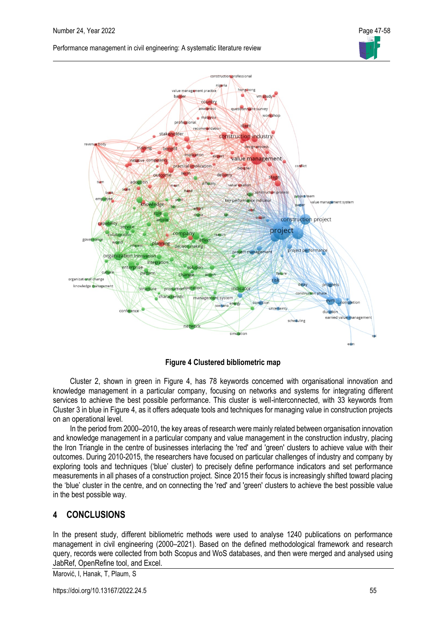



**Figure 4 Clustered bibliometric map**

Cluster 2, shown in green in Figure 4, has 78 keywords concerned with organisational innovation and knowledge management in a particular company, focusing on networks and systems for integrating different services to achieve the best possible performance. This cluster is well-interconnected, with 33 keywords from Cluster 3 in blue in Figure 4, as it offers adequate tools and techniques for managing value in construction projects on an operational level.

In the period from 2000–2010, the key areas of research were mainly related between organisation innovation and knowledge management in a particular company and value management in the construction industry, placing the Iron Triangle in the centre of businesses interlacing the 'red' and 'green' clusters to achieve value with their outcomes. During 2010-2015, the researchers have focused on particular challenges of industry and company by exploring tools and techniques ('blue' cluster) to precisely define performance indicators and set performance measurements in all phases of a construction project. Since 2015 their focus is increasingly shifted toward placing the 'blue' cluster in the centre, and on connecting the 'red' and 'green' clusters to achieve the best possible value in the best possible way.

# **4 CONCLUSIONS**

In the present study, different bibliometric methods were used to analyse 1240 publications on performance management in civil engineering (2000–2021). Based on the defined methodological framework and research query, records were collected from both Scopus and WoS databases, and then were merged and analysed using JabRef, OpenRefine tool, and Excel.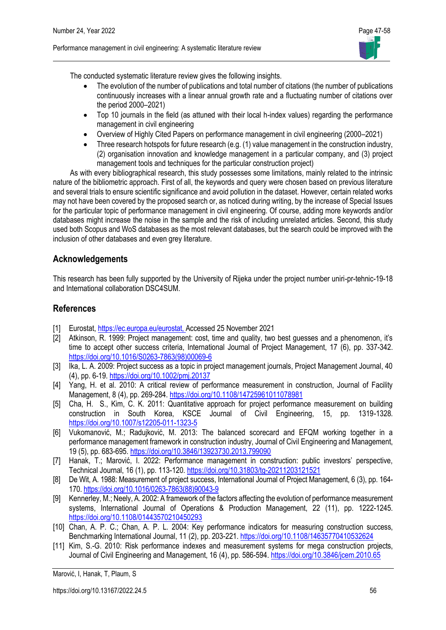

The conducted systematic literature review gives the following insights.

- The evolution of the number of publications and total number of citations (the number of publications continuously increases with a linear annual growth rate and a fluctuating number of citations over the period 2000–2021)
- Top 10 journals in the field (as attuned with their local h-index values) regarding the performance management in civil engineering
- Overview of Highly Cited Papers on performance management in civil engineering (2000–2021)
- Three research hotspots for future research (e.g. (1) value management in the construction industry, (2) organisation innovation and knowledge management in a particular company, and (3) project management tools and techniques for the particular construction project)

As with every bibliographical research, this study possesses some limitations, mainly related to the intrinsic nature of the bibliometric approach. First of all, the keywords and query were chosen based on previous literature and several trials to ensure scientific significance and avoid pollution in the dataset. However, certain related works may not have been covered by the proposed search or, as noticed during writing, by the increase of Special Issues for the particular topic of performance management in civil engineering. Of course, adding more keywords and/or databases might increase the noise in the sample and the risk of including unrelated articles. Second, this study used both Scopus and WoS databases as the most relevant databases, but the search could be improved with the inclusion of other databases and even grey literature.

### **Acknowledgements**

This research has been fully supported by the University of Rijeka under the project number uniri-pr-tehnic-19-18 and International collaboration DSC4SUM.

## **References**

- [1] Eurostat[, https://ec.europa.eu/eurostat,](https://ec.europa.eu/eurostat) Accessed 25 November 2021
- [2] Atkinson, R. 1999: Project management: cost, time and quality, two best guesses and a phenomenon, it's time to accept other success criteria, International Journal of Project Management, 17 (6), pp. 337-342. [https://doi.org/10.1016/S0263-7863\(98\)00069-6](https://doi.org/10.1016/S0263-7863(98)00069-6)
- [3] Ika, L. A. 2009: Project success as a topic in project management journals, Project Management Journal, 40 (4), pp. 6-19. <https://doi.org/10.1002/pmj.20137>
- [4] Yang, H. et al. 2010: A critical review of performance measurement in construction, Journal of Facility Management, 8 (4), pp. 269-284. <https://doi.org/10.1108/14725961011078981>
- [5] Cha, H. S., Kim, C. K. 2011: Quantitative approach for project performance measurement on building construction in South Korea, KSCE Journal of Civil Engineering, 15, pp. 1319-1328. <https://doi.org/10.1007/s12205-011-1323-5>
- [6] Vukomanović, M.; Radujković, M. 2013: The balanced scorecard and EFQM working together in a performance management framework in construction industry, Journal of Civil Engineering and Management, 19 (5), pp. 683-695. <https://doi.org/10.3846/13923730.2013.799090>
- [7] Hanak, T.; Marović, I. 2022: Performance management in construction: public investors' perspective, Technical Journal, 16 (1), pp. 113-120. <https://doi.org/10.31803/tg-20211203121521>
- [8] De Wit, A. 1988: Measurement of project success, International Journal of Project Management, 6 (3), pp. 164- 170. [https://doi.org/10.1016/0263-7863\(88\)90043-9](https://doi.org/10.1016/0263-7863(88)90043-9)
- [9] Kennerley, M.; Neely, A. 2002: A framework of the factors affecting the evolution of performance measurement systems, International Journal of Operations & Production Management, 22 (11), pp. 1222-1245. <https://doi.org/10.1108/01443570210450293>
- [10] Chan, A. P. C.; Chan, A. P. L. 2004: Key performance indicators for measuring construction success, Benchmarking International Journal, 11 (2), pp. 203-221. <https://doi.org/10.1108/14635770410532624>
- [11] Kim, S.-G. 2010: Risk performance indexes and measurement systems for mega construction projects, Journal of Civil Engineering and Management, 16 (4), pp. 586-594. <https://doi.org/10.3846/jcem.2010.65>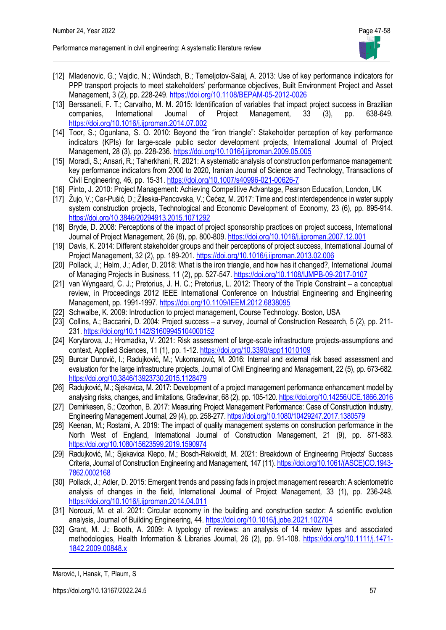

- [12] Mladenovic, G.; Vajdic, N.; Wündsch, B.; Temeljotov-Salaj, A. 2013: Use of key performance indicators for PPP transport projects to meet stakeholders' performance objectives, Built Environment Project and Asset Management, 3 (2), pp. 228-249. <https://doi.org/10.1108/BEPAM-05-2012-0026>
- [13] Berssaneti, F. T.; Carvalho, M. M. 2015: Identification of variables that impact project success in Brazilian companies, International Journal of Project Management, 33 (3), pp. 638-649. <https://doi.org/10.1016/j.ijproman.2014.07.002>
- [14] Toor, S.; Ogunlana, S. O. 2010: Beyond the "iron triangle": Stakeholder perception of key performance indicators (KPIs) for large-scale public sector development projects, International Journal of Project Management, 28 (3), pp. 228-236. <https://doi.org/10.1016/j.ijproman.2009.05.005>
- [15] Moradi, S.; Ansari, R.; Taherkhani, R. 2021: A systematic analysis of construction performance management: key performance indicators from 2000 to 2020, Iranian Journal of Science and Technology, Transactions of Civil Engineering, 46, pp. 15-31. <https://doi.org/10.1007/s40996-021-00626-7>
- [16] Pinto, J. 2010: Project Management: Achieving Competitive Advantage, Pearson Education, London, UK
- [17] Žujo, V.; Car-Pušić, D.; Žileska-Pancovska, V.; Ćećez, M. 2017: Time and cost interdependence in water supply system construction projects, Technological and Economic Development of Economy, 23 (6), pp. 895-914. <https://doi.org/10.3846/20294913.2015.1071292>
- [18] Bryde, D. 2008: Perceptions of the impact of project sponsorship practices on project success, International Journal of Project Management, 26 (8), pp. 800-809. <https://doi.org/10.1016/j.ijproman.2007.12.001>
- [19] Davis, K. 2014: Different stakeholder groups and their perceptions of project success, International Journal of Project Management, 32 (2), pp. 189-201. <https://doi.org/10.1016/j.ijproman.2013.02.006>
- [20] Pollack, J.; Helm, J.; Adler, D. 2018: What is the iron triangle, and how has it changed?, International Journal of Managing Projects in Business, 11 (2), pp. 527-547. <https://doi.org/10.1108/IJMPB-09-2017-0107>
- [21] van Wyngaard, C. J.; Pretorius, J. H. C.; Pretorius, L. 2012: Theory of the Triple Constraint a conceptual review, in Proceedings 2012 IEEE International Conference on Industrial Engineering and Engineering Management, pp. 1991-1997. <https://doi.org/10.1109/IEEM.2012.6838095>
- [22] Schwalbe, K. 2009: Introduction to project management, Course Technology. Boston, USA
- [23] Collins, A.; Baccarini, D. 2004: Project success a survey, Journal of Construction Research, 5 (2), pp. 211-231. <https://doi.org/10.1142/S1609945104000152>
- [24] Korytarova, J.; Hromadka, V. 2021: Risk assessment of large-scale infrastructure projects-assumptions and context, Applied Sciences, 11 (1), pp. 1-12.<https://doi.org/10.3390/app11010109>
- [25] Burcar Dunović, I.; Radujković, M.; Vukomanović, M. 2016: Internal and external risk based assessment and evaluation for the large infrastructure projects, Journal of Civil Engineering and Management, 22 (5), pp. 673-682. <https://doi.org/10.3846/13923730.2015.1128479>
- [26] Radujković, M.; Sjekavica, M. 2017: Development of a project management performance enhancement model by analysing risks, changes, and limitations, Građevinar, 68 (2), pp. 105-120. <https://doi.org/10.14256/JCE.1866.2016>
- [27] Demirkesen, S.; Ozorhon, B. 2017: Measuring Project Management Performance: Case of Construction Industry, Engineering Management Journal, 29 (4), pp. 258-277. <https://doi.org/10.1080/10429247.2017.1380579>
- [28] Keenan, M.; Rostami, A. 2019: The impact of quality management systems on construction performance in the North West of England, International Journal of Construction Management, 21 (9), pp. 871-883. <https://doi.org/10.1080/15623599.2019.1590974>
- [29] Radujković, M.; Sjekavica Klepo, M.; Bosch-Rekveldt, M. 2021: Breakdown of Engineering Projects' Success Criteria, Journal of Construction Engineering and Management, 147 (11)[. https://doi.org/10.1061/\(ASCE\)CO.1943-](https://doi.org/10.1061/(ASCE)CO.1943-7862.0002168) [7862.0002168](https://doi.org/10.1061/(ASCE)CO.1943-7862.0002168)
- [30] Pollack, J.; Adler, D. 2015: Emergent trends and passing fads in project management research: A scientometric analysis of changes in the field, International Journal of Project Management, 33 (1), pp. 236-248. <https://doi.org/10.1016/j.ijproman.2014.04.011>
- [31] Norouzi, M. et al. 2021: Circular economy in the building and construction sector: A scientific evolution analysis, Journal of Building Engineering, 44[. https://doi.org/10.1016/j.jobe.2021.102704](https://doi.org/10.1016/j.jobe.2021.102704)
- [32] Grant, M. J.; Booth, A. 2009: A typology of reviews: an analysis of 14 review types and associated methodologies, Health Information & Libraries Journal, 26 (2), pp. 91-108. [https://doi.org/10.1111/j.1471-](https://doi.org/10.1111/j.1471-1842.2009.00848.x) [1842.2009.00848.x](https://doi.org/10.1111/j.1471-1842.2009.00848.x)